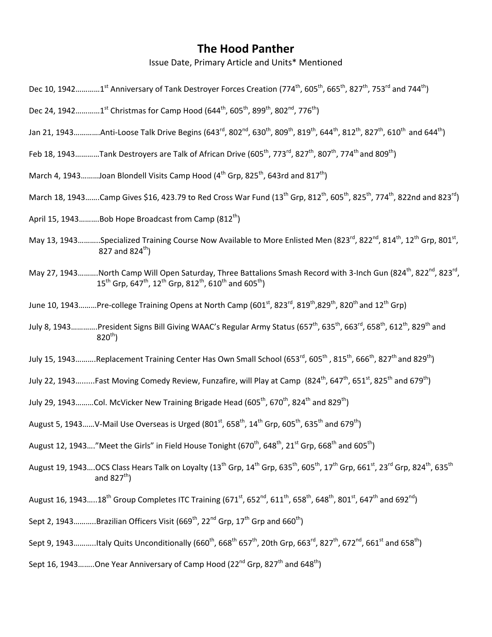## **The Hood Panther**

Issue Date, Primary Article and Units\* Mentioned

- Dec 10, 1942............1<sup>st</sup> Anniversary of Tank Destroyer Forces Creation (774<sup>th</sup>, 605<sup>th</sup>, 665<sup>th</sup>, 827<sup>th</sup>, 753<sup>rd</sup> and 744<sup>th</sup>)
- Dec 24, 1942............1<sup>st</sup> Christmas for Camp Hood (644<sup>th</sup>, 605<sup>th</sup>, 899<sup>th</sup>, 802<sup>nd</sup>, 776<sup>th</sup>)
- Jan 21, 1943………….Anti-Loose Talk Drive Begins (643<sup>rd</sup>, 802<sup>nd</sup>, 630<sup>th</sup>, 809<sup>th</sup>, 819<sup>th</sup>, 644<sup>th</sup>, 812<sup>th</sup>, 827<sup>th</sup>, 610<sup>th</sup> and 644<sup>th</sup>)
- Feb 18, 1943............Tank Destroyers are Talk of African Drive (605<sup>th</sup>, 773<sup>rd</sup>, 827<sup>th</sup>, 807<sup>th</sup>, 774<sup>th</sup> and 809<sup>th</sup>)
- March 4, 1943.........Joan Blondell Visits Camp Hood ( $4<sup>th</sup>$  Grp, 825<sup>th</sup>, 643rd and 817<sup>th</sup>)
- March 18, 1943.......Camp Gives \$16, 423.79 to Red Cross War Fund (13<sup>th</sup> Grp, 812<sup>th</sup>, 605<sup>th</sup>, 825<sup>th</sup>, 774<sup>th</sup>, 822nd and 823<sup>rd</sup>)
- April 15, 1943..........Bob Hope Broadcast from Camp  $(812<sup>th</sup>)$
- May 13, 1943...........Specialized Training Course Now Available to More Enlisted Men (823<sup>rd</sup>, 822<sup>nd</sup>, 814<sup>th</sup>, 12<sup>th</sup> Grp. 801<sup>st</sup>. 827 and  $824^{\text{th}}$ )
- May 27, 1943……….North Camp Will Open Saturday, Three Battalions Smash Record with 3-Inch Gun (824<sup>th</sup>, 822<sup>nd</sup>, 823<sup>rd</sup>,  $15^{th}$  Grp, 647<sup>th</sup>, 12<sup>th</sup> Grp, 812<sup>th</sup>, 610<sup>th</sup> and 605<sup>th</sup>)
- June 10, 1943………Pre-college Training Opens at North Camp (601<sup>st</sup>, 823<sup>rd</sup>, 819<sup>th</sup>,829<sup>th</sup>, 820<sup>th</sup> and 12<sup>th</sup> Grp)
- July 8, 1943.............President Signs Bill Giving WAAC's Regular Army Status (657<sup>th</sup>, 635<sup>th</sup>, 663<sup>rd</sup>, 658<sup>th</sup>, 612<sup>th</sup>, 829<sup>th</sup> and  $820^{th}$ )
- July 15, 1943……….Replacement Training Center Has Own Small School (653 $^{\text{rd}}$ , 605<sup>th</sup>, 815<sup>th</sup>, 666<sup>th</sup>, 827<sup>th</sup> and 829<sup>th</sup>)
- July 22, 1943.........Fast Moving Comedy Review, Funzafire, will Play at Camp (824<sup>th</sup>, 647<sup>th</sup>, 651<sup>st</sup>, 825<sup>th</sup> and 679<sup>th</sup>)
- July 29, 1943.........Col. McVicker New Training Brigade Head (605<sup>th</sup>, 670<sup>th</sup>, 824<sup>th</sup> and 829<sup>th</sup>)
- August 5, 1943......V-Mail Use Overseas is Urged (801<sup>st</sup>, 658<sup>th</sup>, 14<sup>th</sup> Grp, 605<sup>th</sup>, 635<sup>th</sup> and 679<sup>th</sup>)
- August 12, 1943...."Meet the Girls" in Field House Tonight (670<sup>th</sup>, 648<sup>th</sup>, 21<sup>st</sup> Grp, 668<sup>th</sup> and 605<sup>th</sup>)
- August 19, 1943....OCS Class Hears Talk on Loyalty (13<sup>th</sup> Grp, 14<sup>th</sup> Grp, 635<sup>th</sup>, 605<sup>th</sup>, 17<sup>th</sup> Grp, 661<sup>st</sup>, 23<sup>rd</sup> Grp, 824<sup>th</sup>, 635<sup>th</sup> and  $827^{\text{th}}$ )
- August 16, 1943.....18<sup>th</sup> Group Completes ITC Training (671<sup>st</sup>, 652<sup>nd</sup>, 611<sup>th</sup>, 658<sup>th</sup>, 648<sup>th</sup>, 801<sup>st</sup>, 647<sup>th</sup> and 692<sup>nd</sup>)
- Sept 2, 1943...........Brazilian Officers Visit (669<sup>th</sup>, 22<sup>nd</sup> Grp, 17<sup>th</sup> Grp and 660<sup>th</sup>)
- Sept 9, 1943...........Italy Quits Unconditionally (660<sup>th</sup>, 668<sup>th</sup> 657<sup>th</sup>, 20th Grp, 663<sup>rd</sup>, 827<sup>th</sup>, 672<sup>nd</sup>, 661<sup>st</sup> and 658<sup>th</sup>)
- Sept 16, 1943........One Year Anniversary of Camp Hood  $(22^{nd}$  Grp,  $827^{th}$  and  $648^{th}$ )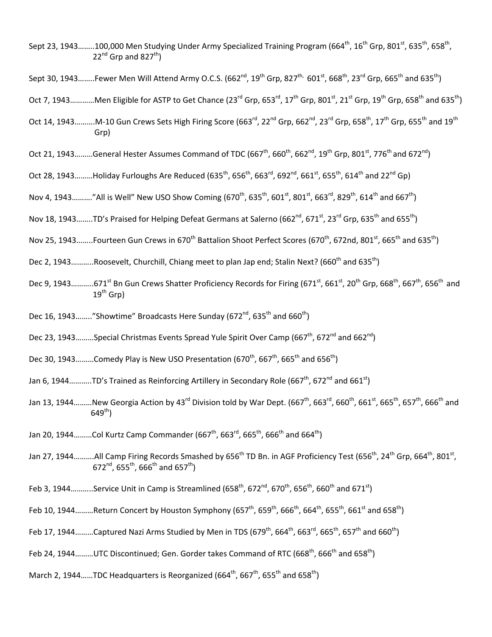- Sept 23, 1943……..100,000 Men Studying Under Army Specialized Training Program (664<sup>th</sup>, 16<sup>th</sup> Grp, 801<sup>st</sup>, 635<sup>th</sup>, 658<sup>th</sup>,  $22^{nd}$  Grp and  $827^{th}$ )
- Sept 30, 1943........Fewer Men Will Attend Army O.C.S. (662<sup>nd</sup>, 19<sup>th</sup> Grp, 827<sup>th,</sup> 601<sup>st</sup>, 668<sup>th</sup>, 23<sup>rd</sup> Grp, 665<sup>th</sup> and 635<sup>th</sup>)
- Oct 7, 1943…………Men Eligible for ASTP to Get Chance (23<sup>rd</sup> Grp, 653<sup>rd</sup>, 17<sup>th</sup> Grp, 801<sup>st</sup>, 21<sup>st</sup> Grp, 19<sup>th</sup> Grp, 658<sup>th</sup> and 635<sup>th</sup>)
- Oct 14, 1943………M-10 Gun Crews Sets High Firing Score (663<sup>rd</sup>, 22<sup>nd</sup> Grp, 662<sup>nd</sup>, 23<sup>rd</sup> Grp, 658<sup>th</sup>, 17<sup>th</sup> Grp, 655<sup>th</sup> and 19<sup>th</sup> Grp)
- Oct 21, 1943.........General Hester Assumes Command of TDC (667<sup>th</sup>, 660<sup>th</sup>, 662<sup>nd</sup>, 19<sup>th</sup> Grp, 801<sup>st</sup>, 776<sup>th</sup> and 672<sup>nd</sup>)
- Oct 28, 1943.........Holiday Furloughs Are Reduced (635<sup>th</sup>, 656<sup>th</sup>, 663<sup>rd</sup>, 692<sup>nd</sup>, 661<sup>st</sup>, 655<sup>th</sup>, 614<sup>th</sup> and 22<sup>nd</sup> Gp)
- Nov 4, 1943.........."All is Well" New USO Show Coming (670<sup>th</sup>, 635<sup>th</sup>, 601<sup>st</sup>, 801<sup>st</sup>, 663<sup>rd</sup>, 829<sup>th</sup>, 614<sup>th</sup> and 667<sup>th</sup>)
- Nov 18, 1943........TD's Praised for Helping Defeat Germans at Salerno (662<sup>nd</sup>, 671<sup>st</sup>, 23<sup>rd</sup> Grp, 635<sup>th</sup> and 655<sup>th</sup>)
- Nov 25, 1943……..Fourteen Gun Crews in 670<sup>th</sup> Battalion Shoot Perfect Scores (670<sup>th</sup>, 672nd, 801<sup>st</sup>, 665<sup>th</sup> and 635<sup>th</sup>)
- Dec 2, 1943...........Roosevelt, Churchill, Chiang meet to plan Jap end; Stalin Next? (660<sup>th</sup> and 635<sup>th</sup>)
- Dec 9, 1943...........671<sup>st</sup> Bn Gun Crews Shatter Proficiency Records for Firing (671<sup>st</sup>, 661<sup>st</sup>, 20<sup>th</sup> Grp, 668<sup>th</sup>, 667<sup>th</sup>, 656<sup>th</sup> and  $19^{\text{th}}$  Grp)
- Dec 16, 1943........"Showtime" Broadcasts Here Sunday (672<sup>nd</sup>, 635<sup>th</sup> and 660<sup>th</sup>)
- Dec 23, 1943.........Special Christmas Events Spread Yule Spirit Over Camp (667<sup>th</sup>, 672<sup>nd</sup> and 662<sup>nd</sup>)
- Dec 30, 1943.........Comedy Play is New USO Presentation (670<sup>th</sup>, 667<sup>th</sup>, 665<sup>th</sup> and 656<sup>th</sup>)
- Jan 6, 1944...........TD's Trained as Reinforcing Artillery in Secondary Role (667<sup>th</sup>, 672<sup>nd</sup> and 661<sup>st</sup>)
- Jan 13, 1944 ………New Georgia Action by 43<sup>rd</sup> Division told by War Dept. (667<sup>th</sup>, 663<sup>rd</sup>, 660<sup>th</sup>, 661<sup>st</sup>, 665<sup>th</sup>, 657<sup>th</sup>, 666<sup>th</sup> and  $649^{th}$ )
- Jan 20, 1944.........Col Kurtz Camp Commander (667<sup>th</sup>, 663<sup>rd</sup>, 665<sup>th</sup>, 666<sup>th</sup> and 664<sup>th</sup>)
- Jan 27, 1944……….All Camp Firing Records Smashed by 656<sup>th</sup> TD Bn. in AGF Proficiency Test (656<sup>th</sup>, 24<sup>th</sup> Grp, 664<sup>th</sup>, 801<sup>st</sup>, 672<sup>nd</sup>, 655<sup>th</sup>, 666<sup>th</sup> and 657<sup>th</sup>)
- Feb 3, 1944...........Service Unit in Camp is Streamlined (658<sup>th</sup>, 672<sup>nd</sup>, 670<sup>th</sup>, 656<sup>th</sup>, 660<sup>th</sup> and 671<sup>st</sup>)
- Feb 10, 1944………Return Concert by Houston Symphony (657<sup>th</sup>, 659<sup>th</sup>, 664<sup>th</sup>, 654<sup>th</sup>, 655<sup>th</sup>, 661<sup>st</sup> and 658<sup>th</sup>)
- Feb 17, 1944.........Captured Nazi Arms Studied by Men in TDS (679<sup>th</sup>, 664<sup>th</sup>, 663<sup>rd</sup>, 665<sup>th</sup>, 657<sup>th</sup> and 660<sup>th</sup>)
- Feb 24, 1944........UTC Discontinued; Gen. Gorder takes Command of RTC (668<sup>th</sup>, 666<sup>th</sup> and 658<sup>th</sup>)
- March 2, 1944......TDC Headquarters is Reorganized (664<sup>th</sup>, 667<sup>th</sup>, 655<sup>th</sup> and 658<sup>th</sup>)